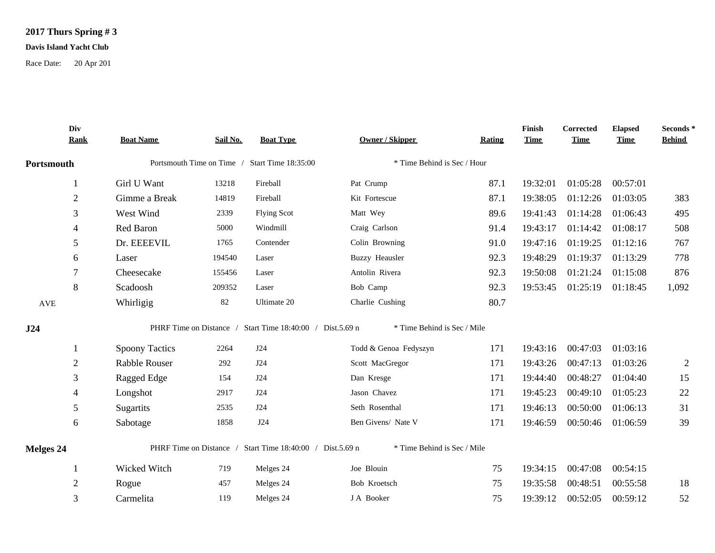## **2017 Thurs Spring # 3**

## **Davis Island Yacht Club**

Race Date: 20 Apr 201

|                      | Div<br><b>Rank</b> | <b>Boat Name</b>                              | Sail No. | <b>Boat Type</b>                                          | Owner / Skipper             | Rating | Finish<br><b>Time</b> | Corrected<br><b>Time</b> | <b>Elapsed</b><br><b>Time</b> | Seconds*<br><b>Behind</b> |
|----------------------|--------------------|-----------------------------------------------|----------|-----------------------------------------------------------|-----------------------------|--------|-----------------------|--------------------------|-------------------------------|---------------------------|
| Portsmouth           |                    | Portsmouth Time on Time / Start Time 18:35:00 |          |                                                           | * Time Behind is Sec / Hour |        |                       |                          |                               |                           |
|                      |                    | Girl U Want                                   | 13218    | Fireball                                                  | Pat Crump                   | 87.1   | 19:32:01              | 01:05:28                 | 00:57:01                      |                           |
|                      | $\overline{2}$     | Gimme a Break                                 | 14819    | Fireball                                                  | Kit Fortescue               | 87.1   | 19:38:05              | 01:12:26                 | 01:03:05                      | 383                       |
|                      | 3                  | West Wind                                     | 2339     | <b>Flying Scot</b>                                        | Matt Wey                    | 89.6   | 19:41:43              | 01:14:28                 | 01:06:43                      | 495                       |
|                      | 4                  | Red Baron                                     | 5000     | Windmill                                                  | Craig Carlson               | 91.4   | 19:43:17              | 01:14:42                 | 01:08:17                      | 508                       |
|                      | 5                  | Dr. EEEEVIL                                   | 1765     | Contender                                                 | Colin Browning              | 91.0   | 19:47:16              | 01:19:25                 | 01:12:16                      | 767                       |
|                      | 6                  | Laser                                         | 194540   | Laser                                                     | <b>Buzzy Heausler</b>       | 92.3   | 19:48:29              | 01:19:37                 | 01:13:29                      | 778                       |
|                      |                    | Cheesecake                                    | 155456   | Laser                                                     | Antolin Rivera              | 92.3   | 19:50:08              | 01:21:24                 | 01:15:08                      | 876                       |
|                      | 8                  | Scadoosh                                      | 209352   | Laser                                                     | Bob Camp                    | 92.3   | 19:53:45              | 01:25:19                 | 01:18:45                      | 1,092                     |
| $\operatorname{AVE}$ |                    | Whirligig                                     | 82       | Ultimate 20                                               | Charlie Cushing             | 80.7   |                       |                          |                               |                           |
| J24                  |                    |                                               |          | PHRF Time on Distance / Start Time 18:40:00 / Dist.5.69 n | * Time Behind is Sec / Mile |        |                       |                          |                               |                           |
|                      |                    | <b>Spoony Tactics</b>                         | 2264     | J24                                                       | Todd & Genoa Fedyszyn       | 171    | 19:43:16              | 00:47:03                 | 01:03:16                      |                           |
|                      | $\overline{2}$     | <b>Rabble Rouser</b>                          | 292      | J24                                                       | Scott MacGregor             | 171    | 19:43:26              | 00:47:13                 | 01:03:26                      | 2                         |
|                      | 3                  | Ragged Edge                                   | 154      | J24                                                       | Dan Kresge                  | 171    | 19:44:40              | 00:48:27                 | 01:04:40                      | 15                        |
|                      | 4                  | Longshot                                      | 2917     | J24                                                       | Jason Chavez                | 171    | 19:45:23              | 00:49:10                 | 01:05:23                      | 22                        |
|                      | 5                  | Sugartits                                     | 2535     | J24                                                       | Seth Rosenthal              | 171    | 19:46:13              | 00:50:00                 | 01:06:13                      | 31                        |
|                      | 6                  | Sabotage                                      | 1858     | J24                                                       | Ben Givens/ Nate V          | 171    | 19:46:59              | 00:50:46                 | 01:06:59                      | 39                        |
| Melges 24            |                    |                                               |          | PHRF Time on Distance / Start Time 18:40:00 / Dist.5.69 n | * Time Behind is Sec / Mile |        |                       |                          |                               |                           |
|                      |                    | Wicked Witch                                  | 719      | Melges 24                                                 | Joe Blouin                  | 75     | 19:34:15              | 00:47:08                 | 00:54:15                      |                           |
|                      | 2                  | Rogue                                         | 457      | Melges 24                                                 | Bob Kroetsch                | 75     | 19:35:58              | 00:48:51                 | 00:55:58                      | 18                        |
|                      | 3                  | Carmelita                                     | 119      | Melges 24                                                 | J A Booker                  | 75     | 19:39:12              | 00:52:05                 | 00:59:12                      | 52                        |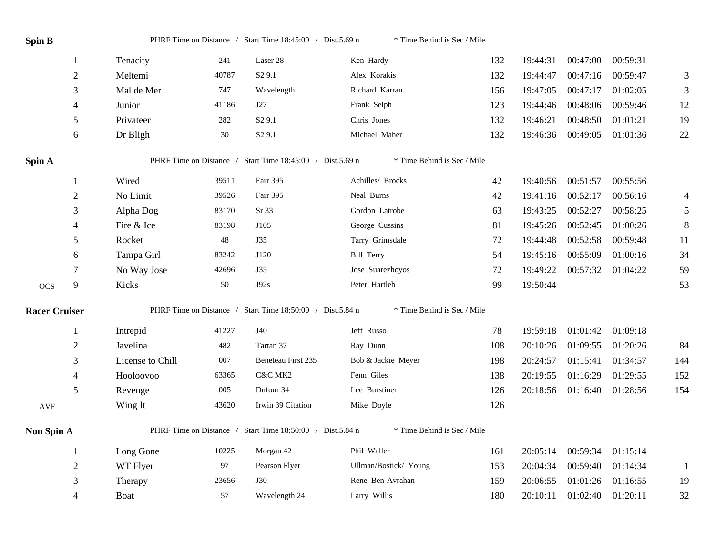| Spin B               |                |                  |        | PHRF Time on Distance / Start Time 18:45:00 / Dist.5.69 n | * Time Behind is Sec / Mile |     |          |          |          |                |
|----------------------|----------------|------------------|--------|-----------------------------------------------------------|-----------------------------|-----|----------|----------|----------|----------------|
|                      | -1             | Tenacity         | 241    | Laser 28                                                  | Ken Hardy                   | 132 | 19:44:31 | 00:47:00 | 00:59:31 |                |
|                      | $\overline{2}$ | Meltemi          | 40787  | S <sub>2</sub> 9.1                                        | Alex Korakis                | 132 | 19:44:47 | 00:47:16 | 00:59:47 | 3              |
|                      | 3              | Mal de Mer       | 747    | Wavelength                                                | Richard Karran              | 156 | 19:47:05 | 00:47:17 | 01:02:05 | 3              |
|                      | $\overline{4}$ | Junior           | 41186  | J27                                                       | Frank Selph                 | 123 | 19:44:46 | 00:48:06 | 00:59:46 | 12             |
|                      | $\sqrt{5}$     | Privateer        | 282    | S <sub>2</sub> 9.1                                        | Chris Jones                 | 132 | 19:46:21 | 00:48:50 | 01:01:21 | 19             |
|                      | 6              | Dr Bligh         | $30\,$ | S <sub>2</sub> 9.1                                        | Michael Maher               | 132 | 19:46:36 | 00:49:05 | 01:01:36 | 22             |
| Spin A               |                |                  |        | PHRF Time on Distance / Start Time 18:45:00 / Dist.5.69 n | * Time Behind is Sec / Mile |     |          |          |          |                |
|                      | 1              | Wired            | 39511  | Farr 395                                                  | Achilles/ Brocks            | 42  | 19:40:56 | 00:51:57 | 00:55:56 |                |
|                      | $\overline{2}$ | No Limit         | 39526  | Farr 395                                                  | Neal Burns                  | 42  | 19:41:16 | 00:52:17 | 00:56:16 | 4              |
|                      | 3              | Alpha Dog        | 83170  | Sr 33                                                     | Gordon Latrobe              | 63  | 19:43:25 | 00:52:27 | 00:58:25 | $\mathfrak{S}$ |
|                      | $\overline{4}$ | Fire & Ice       | 83198  | J105                                                      | George Cussins              | 81  | 19:45:26 | 00:52:45 | 01:00:26 | 8              |
|                      | 5              | Rocket           | 48     | J35                                                       | Tarry Grimsdale             | 72  | 19:44:48 | 00:52:58 | 00:59:48 | 11             |
|                      | 6              | Tampa Girl       | 83242  | J120                                                      | <b>Bill Terry</b>           | 54  | 19:45:16 | 00:55:09 | 01:00:16 | 34             |
|                      | $\tau$         | No Way Jose      | 42696  | J35                                                       | Jose Suarezhoyos            | 72  | 19:49:22 | 00:57:32 | 01:04:22 | 59             |
| <b>OCS</b>           | 9              | Kicks            | 50     | J92s                                                      | Peter Hartleb               | 99  | 19:50:44 |          |          | 53             |
| <b>Racer Cruiser</b> |                |                  |        | PHRF Time on Distance / Start Time 18:50:00 / Dist.5.84 n | * Time Behind is Sec / Mile |     |          |          |          |                |
|                      | -1             | Intrepid         | 41227  | J40                                                       | Jeff Russo                  | 78  | 19:59:18 | 01:01:42 | 01:09:18 |                |
|                      | $\overline{2}$ | Javelina         | 482    | Tartan 37                                                 | Ray Dunn                    | 108 | 20:10:26 | 01:09:55 | 01:20:26 | 84             |
|                      | 3              | License to Chill | 007    | Beneteau First 235                                        | Bob & Jackie Meyer          | 198 | 20:24:57 | 01:15:41 | 01:34:57 | 144            |
|                      | $\overline{4}$ | Hooloovoo        | 63365  | C&C MK2                                                   | Fenn Giles                  | 138 | 20:19:55 | 01:16:29 | 01:29:55 | 152            |
|                      | 5              | Revenge          | 005    | Dufour 34                                                 | Lee Burstiner               | 126 | 20:18:56 | 01:16:40 | 01:28:56 | 154            |
| AVE                  |                | Wing It          | 43620  | Irwin 39 Citation                                         | Mike Doyle                  | 126 |          |          |          |                |
| Non Spin A           |                |                  |        | PHRF Time on Distance / Start Time 18:50:00 / Dist.5.84 n | * Time Behind is Sec / Mile |     |          |          |          |                |
|                      | $\mathbf{1}$   | Long Gone        | 10225  | Morgan 42                                                 | Phil Waller                 | 161 | 20:05:14 | 00:59:34 | 01:15:14 |                |
|                      | $\overline{2}$ | WT Flyer         | 97     | Pearson Flyer                                             | Ullman/Bostick/ Young       | 153 | 20:04:34 | 00:59:40 | 01:14:34 | -1             |
|                      | 3              | Therapy          | 23656  | <b>J30</b>                                                | Rene Ben-Avrahan            | 159 | 20:06:55 | 01:01:26 | 01:16:55 | 19             |
|                      | $\overline{4}$ | Boat             | 57     | Wavelength 24                                             | Larry Willis                | 180 | 20:10:11 | 01:02:40 | 01:20:11 | 32             |